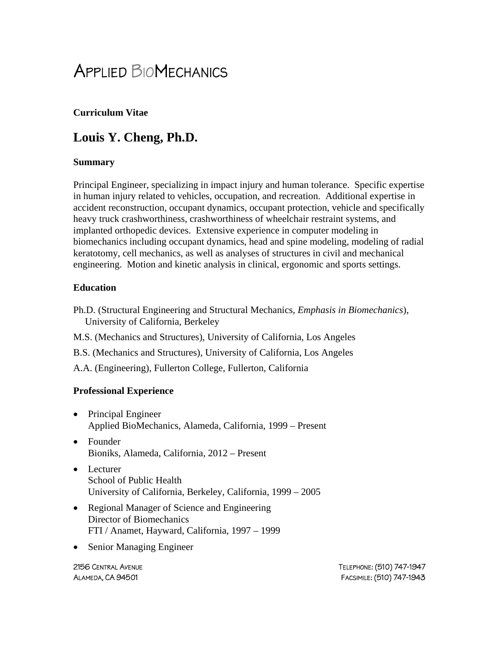# APPLIED BIOMECHANICS

### **Curriculum Vitae**

# **Louis Y. Cheng, Ph.D.**

#### **Summary**

Principal Engineer, specializing in impact injury and human tolerance. Specific expertise in human injury related to vehicles, occupation, and recreation. Additional expertise in accident reconstruction, occupant dynamics, occupant protection, vehicle and specifically heavy truck crashworthiness, crashworthiness of wheelchair restraint systems, and implanted orthopedic devices. Extensive experience in computer modeling in biomechanics including occupant dynamics, head and spine modeling, modeling of radial keratotomy, cell mechanics, as well as analyses of structures in civil and mechanical engineering. Motion and kinetic analysis in clinical, ergonomic and sports settings.

#### **Education**

- Ph.D. (Structural Engineering and Structural Mechanics, *Emphasis in Biomechanics*), University of California, Berkeley
- M.S. (Mechanics and Structures), University of California, Los Angeles
- B.S. (Mechanics and Structures), University of California, Los Angeles
- A.A. (Engineering), Fullerton College, Fullerton, California

#### **Professional Experience**

- Principal Engineer Applied BioMechanics, Alameda, California, 1999 – Present
- Founder Bioniks, Alameda, California, 2012 – Present
- Lecturer School of Public Health University of California, Berkeley, California, 1999 – 2005
- Regional Manager of Science and Engineering Director of Biomechanics FTI / Anamet, Hayward, California, 1997 – 1999
- Senior Managing Engineer

2156 CENTRAL AVENUE TELEPHONE: (510) 747-1947 ALAMEDA, CA 94501 FACSIMILE: (510) 747-1943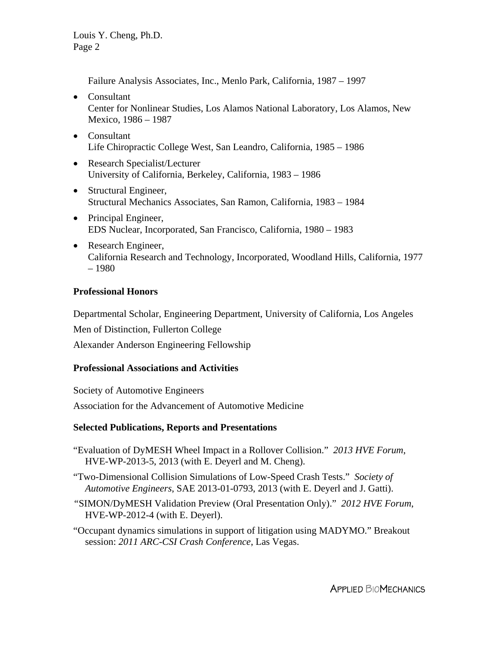Failure Analysis Associates, Inc., Menlo Park, California, 1987 – 1997

- Consultant Center for Nonlinear Studies, Los Alamos National Laboratory, Los Alamos, New Mexico, 1986 – 1987
- Consultant Life Chiropractic College West, San Leandro, California, 1985 – 1986
- Research Specialist/Lecturer University of California, Berkeley, California, 1983 – 1986
- Structural Engineer, Structural Mechanics Associates, San Ramon, California, 1983 – 1984
- Principal Engineer, EDS Nuclear, Incorporated, San Francisco, California, 1980 – 1983
- Research Engineer, California Research and Technology, Incorporated, Woodland Hills, California, 1977 – 1980

#### **Professional Honors**

Departmental Scholar, Engineering Department, University of California, Los Angeles

Men of Distinction, Fullerton College

Alexander Anderson Engineering Fellowship

# **Professional Associations and Activities**

Society of Automotive Engineers Association for the Advancement of Automotive Medicine

# **Selected Publications, Reports and Presentations**

"Evaluation of DyMESH Wheel Impact in a Rollover Collision." *2013 HVE Forum*, HVE-WP-2013-5, 2013 (with E. Deyerl and M. Cheng).

- "Two-Dimensional Collision Simulations of Low-Speed Crash Tests." *Society of Automotive Engineers*, SAE 2013-01-0793, 2013 (with E. Deyerl and J. Gatti).
- *"*SIMON/DyMESH Validation Preview (Oral Presentation Only)." *2012 HVE Forum*, HVE-WP-2012-4 (with E. Deyerl).
- "Occupant dynamics simulations in support of litigation using MADYMO." Breakout session: *2011 ARC-CSI Crash Conference*, Las Vegas.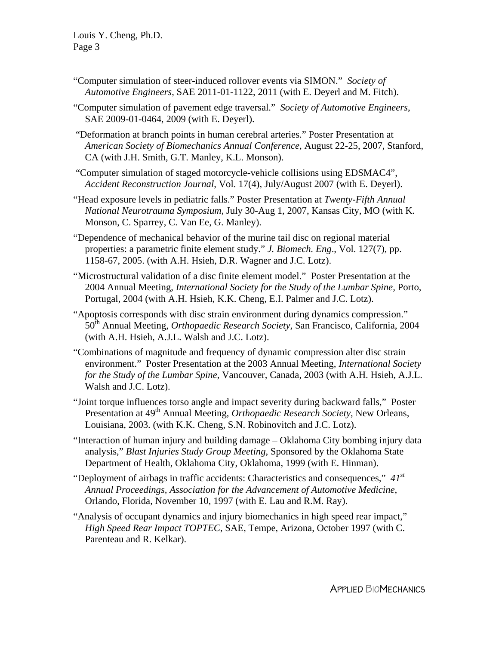- "Computer simulation of steer-induced rollover events via SIMON." *Society of Automotive Engineers*, SAE 2011-01-1122, 2011 (with E. Deyerl and M. Fitch).
- "Computer simulation of pavement edge traversal." *Society of Automotive Engineers*, SAE 2009-01-0464, 2009 (with E. Deyerl).
- "Deformation at branch points in human cerebral arteries." Poster Presentation at *American Society of Biomechanics Annual Conference*, August 22-25, 2007, Stanford, CA (with J.H. Smith, G.T. Manley, K.L. Monson).
- "Computer simulation of staged motorcycle-vehicle collisions using EDSMAC4", *Accident Reconstruction Journal*, Vol. 17(4), July/August 2007 (with E. Deyerl).
- "Head exposure levels in pediatric falls." Poster Presentation at *Twenty-Fifth Annual National Neurotrauma Symposium*, July 30-Aug 1, 2007, Kansas City, MO (with K. Monson, C. Sparrey, C. Van Ee, G. Manley).
- "Dependence of mechanical behavior of the murine tail disc on regional material properties: a parametric finite element study." *J. Biomech. Eng*., Vol. 127(7), pp. 1158-67, 2005. (with A.H. Hsieh, D.R. Wagner and J.C. Lotz).
- "Microstructural validation of a disc finite element model." Poster Presentation at the 2004 Annual Meeting, *International Society for the Study of the Lumbar Spine,* Porto, Portugal, 2004 (with A.H. Hsieh, K.K. Cheng, E.I. Palmer and J.C. Lotz).
- "Apoptosis corresponds with disc strain environment during dynamics compression." 50th Annual Meeting, *Orthopaedic Research Society*, San Francisco, California, 2004 (with A.H. Hsieh, A.J.L. Walsh and J.C. Lotz).
- "Combinations of magnitude and frequency of dynamic compression alter disc strain environment." Poster Presentation at the 2003 Annual Meeting, *International Society for the Study of the Lumbar Spine*, Vancouver, Canada, 2003 (with A.H. Hsieh, A.J.L. Walsh and J.C. Lotz).
- "Joint torque influences torso angle and impact severity during backward falls," Poster Presentation at 49th Annual Meeting, *Orthopaedic Research Society*, New Orleans, Louisiana, 2003. (with K.K. Cheng, S.N. Robinovitch and J.C. Lotz).
- "Interaction of human injury and building damage Oklahoma City bombing injury data analysis," *Blast Injuries Study Group Meeting*, Sponsored by the Oklahoma State Department of Health, Oklahoma City, Oklahoma, 1999 (with E. Hinman).
- "Deployment of airbags in traffic accidents: Characteristics and consequences," *41st Annual Proceedings, Association for the Advancement of Automotive Medicine*, Orlando, Florida, November 10, 1997 (with E. Lau and R.M. Ray).
- "Analysis of occupant dynamics and injury biomechanics in high speed rear impact," *High Speed Rear Impact TOPTEC*, SAE, Tempe, Arizona, October 1997 (with C. Parenteau and R. Kelkar).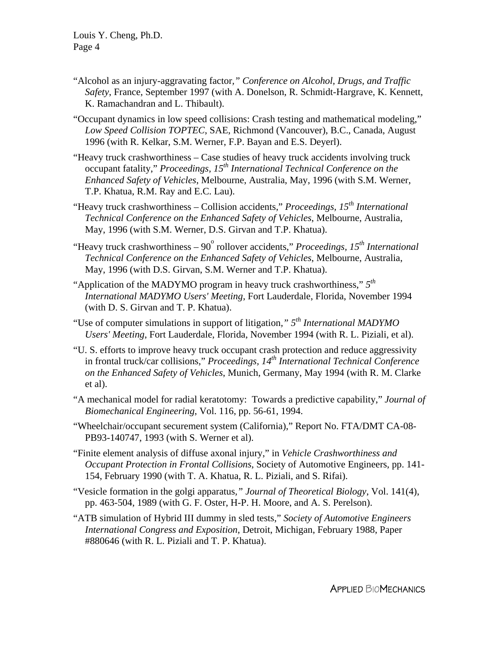- "Alcohol as an injury-aggravating factor*," Conference on Alcohol, Drugs, and Traffic Safety*, France, September 1997 (with A. Donelson, R. Schmidt-Hargrave, K. Kennett, K. Ramachandran and L. Thibault).
- "Occupant dynamics in low speed collisions: Crash testing and mathematical modeling," *Low Speed Collision TOPTEC*, SAE, Richmond (Vancouver), B.C., Canada, August 1996 (with R. Kelkar, S.M. Werner, F.P. Bayan and E.S. Deyerl).
- "Heavy truck crashworthiness Case studies of heavy truck accidents involving truck occupant fatality," *Proceedings, 15th International Technical Conference on the Enhanced Safety of Vehicles*, Melbourne, Australia, May, 1996 (with S.M. Werner, T.P. Khatua, R.M. Ray and E.C. Lau).
- "Heavy truck crashworthiness Collision accidents," *Proceedings, 15th International Technical Conference on the Enhanced Safety of Vehicles*, Melbourne, Australia, May, 1996 (with S.M. Werner, D.S. Girvan and T.P. Khatua).
- "Heavy truck crashworthiness 90<sup>°</sup> rollover accidents," *Proceedings, 15<sup>th</sup> International Technical Conference on the Enhanced Safety of Vehicles*, Melbourne, Australia, May, 1996 (with D.S. Girvan, S.M. Werner and T.P. Khatua).
- "Application of the MADYMO program in heavy truck crashworthiness," *5th International MADYMO Users' Meeting*, Fort Lauderdale, Florida, November 1994 (with D. S. Girvan and T. P. Khatua).
- "Use of computer simulations in support of litigation*," 5th International MADYMO Users' Meeting*, Fort Lauderdale, Florida, November 1994 (with R. L. Piziali, et al).
- "U. S. efforts to improve heavy truck occupant crash protection and reduce aggressivity in frontal truck/car collisions," *Proceedings, 14th International Technical Conference on the Enhanced Safety of Vehicles*, Munich, Germany, May 1994 (with R. M. Clarke et al).
- "A mechanical model for radial keratotomy: Towards a predictive capability," *Journal of Biomechanical Engineering*, Vol. 116, pp. 56-61, 1994.
- "Wheelchair/occupant securement system (California)," Report No. FTA/DMT CA-08- PB93-140747, 1993 (with S. Werner et al).
- "Finite element analysis of diffuse axonal injury," in *Vehicle Crashworthiness and Occupant Protection in Frontal Collisions*, Society of Automotive Engineers, pp. 141- 154, February 1990 (with T. A. Khatua, R. L. Piziali, and S. Rifai).
- "Vesicle formation in the golgi apparatus*," Journal of Theoretical Biology*, Vol. 141(4), pp. 463-504, 1989 (with G. F. Oster, H-P. H. Moore, and A. S. Perelson).
- "ATB simulation of Hybrid III dummy in sled tests," *Society of Automotive Engineers International Congress and Exposition*, Detroit, Michigan, February 1988, Paper #880646 (with R. L. Piziali and T. P. Khatua).